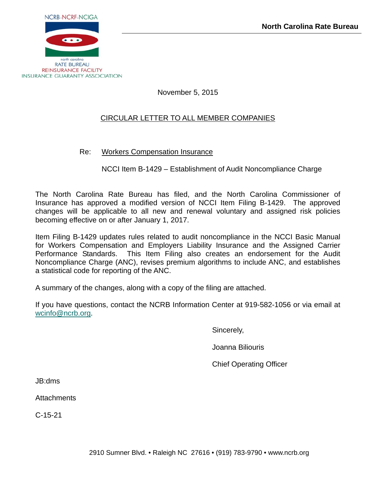

November 5, 2015

# CIRCULAR LETTER TO ALL MEMBER COMPANIES

Re: Workers Compensation Insurance

NCCI Item B-1429 – Establishment of Audit Noncompliance Charge

The North Carolina Rate Bureau has filed, and the North Carolina Commissioner of Insurance has approved a modified version of NCCI Item Filing B-1429. The approved changes will be applicable to all new and renewal voluntary and assigned risk policies becoming effective on or after January 1, 2017.

Item Filing B-1429 updates rules related to audit noncompliance in the NCCI Basic Manual for Workers Compensation and Employers Liability Insurance and the Assigned Carrier Performance Standards. This Item Filing also creates an endorsement for the Audit Noncompliance Charge (ANC), revises premium algorithms to include ANC, and establishes a statistical code for reporting of the ANC.

A summary of the changes, along with a copy of the filing are attached.

If you have questions, contact the NCRB Information Center at 919-582-1056 or via email at wcinfo@ncrb.org.

Sincerely,

Joanna Biliouris

Chief Operating Officer

JB:dms

**Attachments** 

C-15-21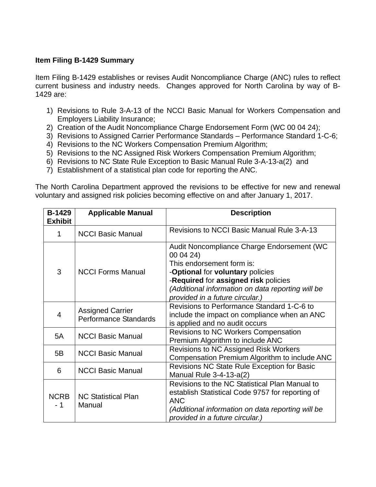# **Item Filing B-1429 Summary**

Item Filing B-1429 establishes or revises Audit Noncompliance Charge (ANC) rules to reflect current business and industry needs. Changes approved for North Carolina by way of B-1429 are:

- 1) Revisions to Rule 3-A-13 of the NCCI Basic Manual for Workers Compensation and Employers Liability Insurance;
- 2) Creation of the Audit Noncompliance Charge Endorsement Form (WC 00 04 24);
- 3) Revisions to Assigned Carrier Performance Standards Performance Standard 1-C-6;
- 4) Revisions to the NC Workers Compensation Premium Algorithm;
- 5) Revisions to the NC Assigned Risk Workers Compensation Premium Algorithm;
- 6) Revisions to NC State Rule Exception to Basic Manual Rule 3-A-13-a(2) and
- 7) Establishment of a statistical plan code for reporting the ANC.

The North Carolina Department approved the revisions to be effective for new and renewal voluntary and assigned risk policies becoming effective on and after January 1, 2017.

| <b>B-1429</b><br><b>Exhibit</b> | <b>Applicable Manual</b>                         | <b>Description</b>                                                                                                                                                                                                                                               |
|---------------------------------|--------------------------------------------------|------------------------------------------------------------------------------------------------------------------------------------------------------------------------------------------------------------------------------------------------------------------|
|                                 | <b>NCCI Basic Manual</b>                         | <b>Revisions to NCCI Basic Manual Rule 3-A-13</b>                                                                                                                                                                                                                |
| 3                               | <b>NCCI Forms Manual</b>                         | Audit Noncompliance Charge Endorsement (WC<br>00 04 24)<br>This endorsement form is:<br>- <b>Optional</b> for voluntary policies<br>-Required for assigned risk policies<br>(Additional information on data reporting will be<br>provided in a future circular.) |
| 4                               | <b>Assigned Carrier</b><br>Performance Standards | Revisions to Performance Standard 1-C-6 to<br>include the impact on compliance when an ANC<br>is applied and no audit occurs                                                                                                                                     |
| 5A                              | <b>NCCI Basic Manual</b>                         | <b>Revisions to NC Workers Compensation</b><br>Premium Algorithm to include ANC                                                                                                                                                                                  |
| 5B                              | <b>NCCI Basic Manual</b>                         | <b>Revisions to NC Assigned Risk Workers</b><br>Compensation Premium Algorithm to include ANC                                                                                                                                                                    |
| 6                               | <b>NCCI Basic Manual</b>                         | Revisions NC State Rule Exception for Basic<br>Manual Rule $3-4-13-a(2)$                                                                                                                                                                                         |
| <b>NCRB</b><br>- 1              | <b>NC Statistical Plan</b><br>Manual             | Revisions to the NC Statistical Plan Manual to<br>establish Statistical Code 9757 for reporting of<br><b>ANC</b><br>(Additional information on data reporting will be<br>provided in a future circular.)                                                         |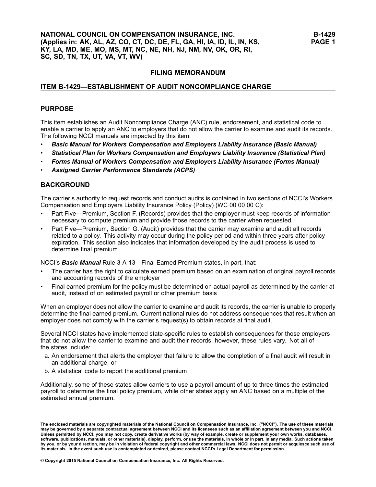### **ITEM B-1429—ESTABLISHMENT OF AUDIT NONCOMPLIANCE CHARGE**

### **PURPOSE**

This item establishes an Audit Noncompliance Charge (ANC) rule, endorsement, and statistical code to enable <sup>a</sup> carrier to apply an ANC to employers that do not allow the carrier to examine and audit its records. The following NCCI manuals are impacted by this item:

- •*Basic Manual for Workers Compensation and Employers Liability Insurance (Basic Manual)*
- •*Statistical Plan for Workers Compensation and Employers Liability Insurance (Statistical Plan)*
- •*Forms Manual of Workers Compensation and Employers Liability Insurance (Forms Manual)*
- •*Assigned Carrier Performance Standards (ACPS)*

# **BACKGROUND**

The carrier's authority to request records and conduct audits is contained in two sections of NCCI's Workers Compensation and Employers Liability Insurance Policy (Policy) (WC 00 00 00 C):

- • Part Five—Premium, Section F. (Records) provides that the employer must keep records of information necessary to compute premium and provide those records to the carrier when requested.
- • Part Five—Premium, Section G. (Audit) provides that the carrier may examine and audit all records related to <sup>a</sup> policy. This activity may occur during the policy period and within three years after policy expiration. This section also indicates that information developed by the audit process is used to determine final premium.

NCCI's *Basic Manual* Rule 3-A-13—Final Earned Premium states, in part, that:

- • The carrier has the right to calculate earned premium based on an examination of original payroll records and accounting records of the employer
- • Final earned premium for the policy must be determined on actual payroll as determined by the carrier at audit, instead of on estimated payroll or other premium basis

When an employer does not allow the carrier to examine and audit its records, the carrier is unable to properly determine the final earned premium. Current national rules do not address consequences that result when an employer does not comply with the carrier's request(s) to obtain records at final audit.

Several NCCI states have implemented state-specific rules to establish consequences for those employers that do not allow the carrier to examine and audit their records; however, these rules vary. Not all of the states include:

- a. An endorsement that alerts the employer that failure to allow the completion of <sup>a</sup> final audit will result in an additional charge, or
- b. A statistical code to report the additional premium

Additionally, some of these states allow carriers to use <sup>a</sup> payroll amount of up to three times the estimated payroll to determine the final policy premium, while other states apply an ANC based on <sup>a</sup> multiple of the estimated annual premium.

The enclosed materials are copyrighted materials of the National Council on Compensation Insurance, Inc. ("NCCI"). The use of these materials<br>may be governed by a separate contractual agreement between NCCI and its license Unless permitted by NCCI, you may not copy, create derivative works (by way of example, create or supplement your own works, databases, software, publications, manuals, or other materials), display, perform, or use the materials, in whole or in part, in any media. Such actions taken by you, or by your direction, may be in violation of federal copyright and other commercial laws. NCCI does not permit or acquiesce such use of its materials. In the event such use is contemplated or desired, please contact NCCI's Legal Department for permission.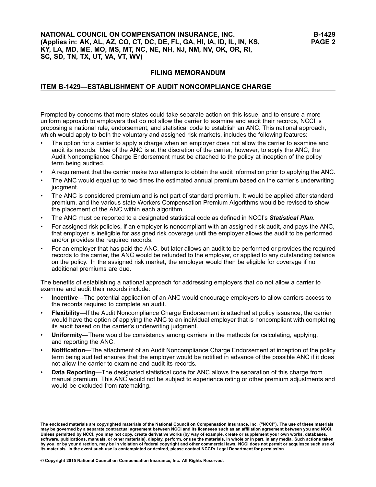# **NATIONAL COUNCIL ON COMPENSATION INSURANCE, INC. (Applies in: AK, AL, AZ, CO, CT, DC, DE, FL, GA, HI, IA, ID, IL, IN, KS, KY, LA, MD, ME, MO, MS, MT, NC, NE, NH, NJ, NM, NV, OK, OR, RI, SC, SD, TN, TX, UT, VA, VT, WV)**

# **FILING MEMORANDUM**

# **ITEM B-1429—ESTABLISHMENT OF AUDIT NONCOMPLIANCE CHARGE**

Prompted by concerns that more states could take separate action on this issue, and to ensure <sup>a</sup> more uniform approach to employers that do not allow the carrier to examine and audit their records, NCCI is proposing <sup>a</sup> national rule, endorsement, and statistical code to establish an ANC. This national approach, which would apply to both the voluntary and assigned risk markets, includes the following features:

- • The option for <sup>a</sup> carrier to apply <sup>a</sup> charge when an employer does not allow the carrier to examine and audit its records. Use of the ANC is at the discretion of the carrier; however, to apply the ANC, the Audit Noncompliance Charge Endorsement must be attached to the policy at inception of the policy term being audited.
- •A requirement that the carrier make two attempts to obtain the audit information prior to applying the ANC.
- • The ANC would equal up to two times the estimated annual premium based on the carrier's underwriting judgment.
- • The ANC is considered premium and is not part of standard premium. It would be applied after standard premium, and the various state Workers Compensation Premium Algorithms would be revised to show the placement of the ANC within each algorithm.
- •The ANC must be reported to <sup>a</sup> designated statistical code as defined in NCCI's *Statistical Plan*.
- • For assigned risk policies, if an employer is noncompliant with an assigned risk audit, and pays the ANC, that employer is ineligible for assigned risk coverage until the employer allows the audit to be performed and/or provides the required records.
- • For an employer that has paid the ANC, but later allows an audit to be performed or provides the required records to the carrier, the ANC would be refunded to the employer, or applied to any outstanding balance on the policy. In the assigned risk market, the employer would then be eligible for coverage if no additional premiums are due.

The benefits of establishing <sup>a</sup> national approach for addressing employers that do not allow <sup>a</sup> carrier to examine and audit their records include:

- • **Incentive**—The potential application of an ANC would encourage employers to allow carriers access to the records required to complete an audit.
- • **Flexibility**—If the Audit Noncompliance Charge Endorsement is attached at policy issuance, the carrier would have the option of applying the ANC to an individual employer that is noncompliant with completing its audit based on the carrier's underwriting judgment.
- • **Uniformity**—There would be consistency among carriers in the methods for calculating, applying, and reporting the ANC.
- • **Notification**—The attachment of an Audit Noncompliance Charge Endorsement at inception of the policy term being audited ensures that the employer would be notified in advance of the possible ANC if it does not allow the carrier to examine and audit its records.
- • **Data Reporting**—The designated statistical code for ANC allows the separation of this charge from manual premium. This ANC would not be subject to experience rating or other premium adjustments and would be excluded from ratemaking.

The enclosed materials are copyrighted materials of the National Council on Compensation Insurance, Inc. ("NCCI"). The use of these materials<br>may be governed by a separate contractual agreement between NCCI and its license Unless permitted by NCCI, you may not copy, create derivative works (by way of example, create or supplement your own works, databases, software, publications, manuals, or other materials), display, perform, or use the materials, in whole or in part, in any media. Such actions taken by you, or by your direction, may be in violation of federal copyright and other commercial laws. NCCI does not permit or acquiesce such use of its materials. In the event such use is contemplated or desired, please contact NCCI's Legal Department for permission.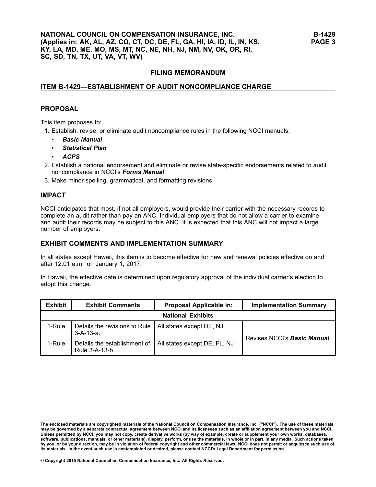### **ITEM B-1429—ESTABLISHMENT OF AUDIT NONCOMPLIANCE CHARGE**

#### **PROPOSAL**

This item proposes to:

- 1. Establish, revise, or eliminate audit noncompliance rules in the following NCCI manuals:
	- •*Basic Manual*
	- •*Statistical Plan*
	- •*ACPS*
- 2. Establish <sup>a</sup> national endorsement and eliminate or revise state-specific endorsements related to audit noncompliance in NCCI's *Forms Manual*
- 3. Make minor spelling, grammatical, and formatting revisions

### **IMPACT**

NCCI anticipates that most, if not all employers, would provide their carrier with the necessary records to complete an audit rather than pay an ANC. Individual employers that do not allow <sup>a</sup> carrier to examine and audit their records may be subject to this ANC. It is expected that this ANC will not impact <sup>a</sup> large number of employers.

# **EXHIBIT COMMENTS AND IMPLEMENTATION SUMMARY**

In all states except Hawaii, this item is to become effective for new and renewal policies effective on and after 12:01 a.m. on January 1, 2017.

In Hawaii, the effective date is determined upon regulatory approval of the individual carrier's election to adopt this change.

| <b>Exhibit</b> | <b>Exhibit Comments</b>                        | Proposal Applicable in:      | <b>Implementation Summary</b>      |  |  |
|----------------|------------------------------------------------|------------------------------|------------------------------------|--|--|
|                | <b>National Exhibits</b>                       |                              |                                    |  |  |
| 1-Rule         | Details the revisions to Rule<br>$3-A-13-a$ .  | All states except DE, NJ     | Revises NCCI's <b>Basic Manual</b> |  |  |
| 1-Rule         | Details the establishment of<br>Rule 3-A-13-b. | All states except DE, FL, NJ |                                    |  |  |

The enclosed materials are copyrighted materials of the National Council on Compensation Insurance, Inc. ("NCCI"). The use of these materials may be governed by a separate contractual agreement between NCCI and its licensees such as an affiliation agreement between you and NCCI. Unless permitted by NCCI, you may not copy, create derivative works (by way of example, create or supplement your own works, databases, software, publications, manuals, or other materials), display, perform, or use the materials, in whole or in part, in any media. Such actions taken by you, or by your direction, may be in violation of federal copyright and other commercial laws. NCCI does not permit or acquiesce such use of its materials. In the event such use is contemplated or desired, please contact NCCI's Legal Department for permission.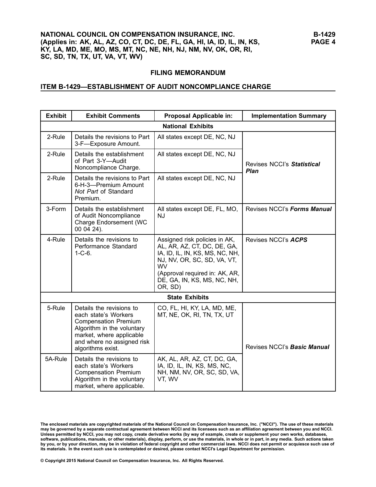# **ITEM B-1429—ESTABLISHMENT OF AUDIT NONCOMPLIANCE CHARGE**

| <b>Exhibit</b> | <b>Exhibit Comments</b>                                                                                                                                                                      | Proposal Applicable in:                                                                                                                                                                                                 | <b>Implementation Summary</b>      |  |  |
|----------------|----------------------------------------------------------------------------------------------------------------------------------------------------------------------------------------------|-------------------------------------------------------------------------------------------------------------------------------------------------------------------------------------------------------------------------|------------------------------------|--|--|
|                | <b>National Exhibits</b>                                                                                                                                                                     |                                                                                                                                                                                                                         |                                    |  |  |
| 2-Rule         | Details the revisions to Part<br>3-F-Exposure Amount.                                                                                                                                        | All states except DE, NC, NJ                                                                                                                                                                                            |                                    |  |  |
| 2-Rule         | Details the establishment<br>of Part 3-Y-Audit<br>Noncompliance Charge.                                                                                                                      | All states except DE, NC, NJ                                                                                                                                                                                            | Revises NCCI's Statistical<br>Plan |  |  |
| 2-Rule         | Details the revisions to Part<br>6-H-3-Premium Amount<br>Not Part of Standard<br>Premium.                                                                                                    | All states except DE, NC, NJ                                                                                                                                                                                            |                                    |  |  |
| 3-Form         | Details the establishment<br>of Audit Noncompliance<br>Charge Endorsement (WC<br>00 04 24).                                                                                                  | All states except DE, FL, MO,<br>NJ                                                                                                                                                                                     | Revises NCCI's Forms Manual        |  |  |
| 4-Rule         | Details the revisions to<br>Performance Standard<br>$1 - C - 6$ .                                                                                                                            | Assigned risk policies in AK,<br>AL, AR, AZ, CT, DC, DE, GA,<br>IA, ID, IL, IN, KS, MS, NC, NH,<br>NJ, NV, OR, SC, SD, VA, VT,<br><b>WV</b><br>(Approval required in: AK, AR,<br>DE, GA, IN, KS, MS, NC, NH,<br>OR, SD) | Revises NCCI's ACPS                |  |  |
|                |                                                                                                                                                                                              | <b>State Exhibits</b>                                                                                                                                                                                                   |                                    |  |  |
| 5-Rule         | Details the revisions to<br>each state's Workers<br><b>Compensation Premium</b><br>Algorithm in the voluntary<br>market, where applicable<br>and where no assigned risk<br>algorithms exist. | CO, FL, HI, KY, LA, MD, ME,<br>MT, NE, OK, RI, TN, TX, UT                                                                                                                                                               | Revises NCCI's <b>Basic Manual</b> |  |  |
| 5A-Rule        | Details the revisions to<br>each state's Workers<br><b>Compensation Premium</b><br>Algorithm in the voluntary<br>market, where applicable.                                                   | AK, AL, AR, AZ, CT, DC, GA,<br>IA, ID, IL, IN, KS, MS, NC,<br>NH, NM, NV, OR, SC, SD, VA,<br>VT, WV                                                                                                                     |                                    |  |  |

The enclosed materials are copyrighted materials of the National Council on Compensation Insurance, Inc. ("NCCI"). The use of these materials<br>may be governed by a separate contractual agreement between NCCI and its license Unless permitted by NCCI, you may not copy, create derivative works (by way of example, create or supplement your own works, databases,<br>software, publications, manuals, or other materials), display, perform, or use the mat by you, or by your direction, may be in violation of federal copyright and other commercial laws. NCCI does not permit or acquiesce such use of its materials. In the event such use is contemplated or desired, please contact NCCI's Legal Department for permission.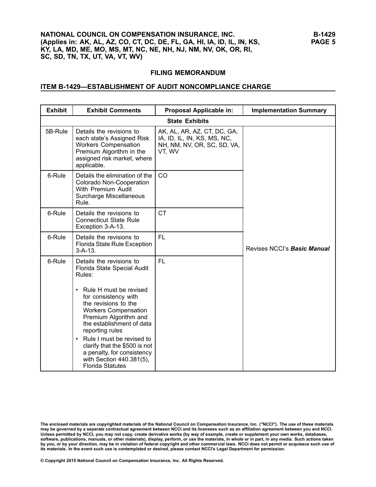# **ITEM B-1429—ESTABLISHMENT OF AUDIT NONCOMPLIANCE CHARGE**

| <b>Exhibit</b> | <b>Exhibit Comments</b>                                                                                                                                                                                                                                                                                                                                                                                                          | Proposal Applicable in:                                                                             | <b>Implementation Summary</b> |
|----------------|----------------------------------------------------------------------------------------------------------------------------------------------------------------------------------------------------------------------------------------------------------------------------------------------------------------------------------------------------------------------------------------------------------------------------------|-----------------------------------------------------------------------------------------------------|-------------------------------|
|                |                                                                                                                                                                                                                                                                                                                                                                                                                                  | <b>State Exhibits</b>                                                                               |                               |
| 5B-Rule        | Details the revisions to<br>each state's Assigned Risk<br><b>Workers Compensation</b><br>Premium Algorithm in the<br>assigned risk market, where<br>applicable.                                                                                                                                                                                                                                                                  | AK, AL, AR, AZ, CT, DC, GA,<br>IA, ID, IL, IN, KS, MS, NC,<br>NH, NM, NV, OR, SC, SD, VA,<br>VT, WV |                               |
| 6-Rule         | Details the elimination of the<br>Colorado Non-Cooperation<br>With Premium Audit<br>Surcharge Miscellaneous<br>Rule.                                                                                                                                                                                                                                                                                                             | <b>CO</b>                                                                                           |                               |
| 6-Rule         | Details the revisions to<br><b>Connecticut State Rule</b><br>Exception 3-A-13.                                                                                                                                                                                                                                                                                                                                                   | <b>CT</b>                                                                                           |                               |
| 6-Rule         | Details the revisions to<br>Florida State Rule Exception<br>$3 - A - 13$ .                                                                                                                                                                                                                                                                                                                                                       | <b>FL</b>                                                                                           | Revises NCCI's Basic Manual   |
| 6-Rule         | Details the revisions to<br>Florida State Special Audit<br>Rules:<br>Rule H must be revised<br>$\bullet$<br>for consistency with<br>the revisions to the<br><b>Workers Compensation</b><br>Premium Algorithm and<br>the establishment of data<br>reporting rules<br>Rule I must be revised to<br>$\bullet$<br>clarify that the \$500 is not<br>a penalty, for consistency<br>with Section 440.381(5),<br><b>Florida Statutes</b> | <b>FL</b>                                                                                           |                               |

The enclosed materials are copyrighted materials of the National Council on Compensation Insurance, Inc. ("NCCI"). The use of these materials<br>may be governed by a separate contractual agreement between NCCI and its license Unless permitted by NCCI, you may not copy, create derivative works (by way of example, create or supplement your own works, databases,<br>software, publications, manuals, or other materials), display, perform, or use the mat by you, or by your direction, may be in violation of federal copyright and other commercial laws. NCCI does not permit or acquiesce such use of its materials. In the event such use is contemplated or desired, please contact NCCI's Legal Department for permission.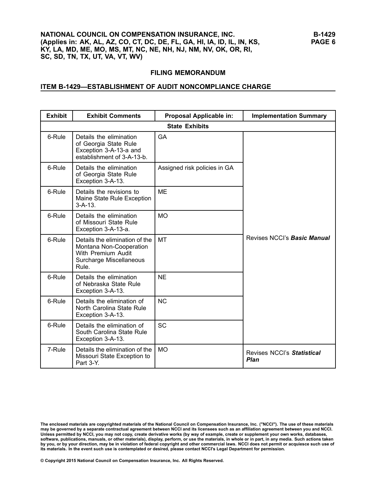# **ITEM B-1429—ESTABLISHMENT OF AUDIT NONCOMPLIANCE CHARGE**

| <b>Exhibit</b> | <b>Exhibit Comments</b>                                                                                             | Proposal Applicable in:      | <b>Implementation Summary</b>             |
|----------------|---------------------------------------------------------------------------------------------------------------------|------------------------------|-------------------------------------------|
|                |                                                                                                                     | <b>State Exhibits</b>        |                                           |
| 6-Rule         | Details the elimination<br>of Georgia State Rule<br>Exception 3-A-13-a and<br>establishment of 3-A-13-b.            | <b>GA</b>                    |                                           |
| 6-Rule         | Details the elimination<br>of Georgia State Rule<br>Exception 3-A-13.                                               | Assigned risk policies in GA |                                           |
| 6-Rule         | Details the revisions to<br>Maine State Rule Exception<br>$3 - A - 13$ .                                            | <b>ME</b>                    |                                           |
| 6-Rule         | Details the elimination<br>of Missouri State Rule<br>Exception 3-A-13-a.                                            | <b>MO</b>                    |                                           |
| 6-Rule         | Details the elimination of the<br>Montana Non-Cooperation<br>With Premium Audit<br>Surcharge Miscellaneous<br>Rule. | <b>MT</b>                    | Revises NCCI's <b>Basic Manual</b>        |
| 6-Rule         | Details the elimination<br>of Nebraska State Rule<br>Exception 3-A-13.                                              | <b>NE</b>                    |                                           |
| 6-Rule         | Details the elimination of<br>North Carolina State Rule<br>Exception 3-A-13.                                        | <b>NC</b>                    |                                           |
| 6-Rule         | Details the elimination of<br>South Carolina State Rule<br>Exception 3-A-13.                                        | <b>SC</b>                    |                                           |
| 7-Rule         | Details the elimination of the<br>Missouri State Exception to<br>Part 3-Y.                                          | <b>MO</b>                    | Revises NCCI's Statistical<br><b>Plan</b> |

The enclosed materials are copyrighted materials of the National Council on Compensation Insurance, Inc. ("NCCI"). The use of these materials<br>may be governed by a separate contractual agreement between NCCI and its license Unless permitted by NCCI, you may not copy, create derivative works (by way of example, create or supplement your own works, databases,<br>software, publications, manuals, or other materials), display, perform, or use the mat by you, or by your direction, may be in violation of federal copyright and other commercial laws. NCCI does not permit or acquiesce such use of its materials. In the event such use is contemplated or desired, please contact NCCI's Legal Department for permission.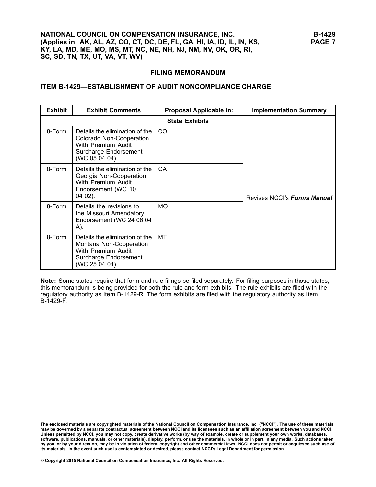#### **ITEM B-1429—ESTABLISHMENT OF AUDIT NONCOMPLIANCE CHARGE**

| <b>Exhibit</b> | <b>Exhibit Comments</b>                                                                                                     | Proposal Applicable in: | <b>Implementation Summary</b> |
|----------------|-----------------------------------------------------------------------------------------------------------------------------|-------------------------|-------------------------------|
|                |                                                                                                                             | <b>State Exhibits</b>   |                               |
| 8-Form         | Details the elimination of the<br>Colorado Non-Cooperation<br>With Premium Audit<br>Surcharge Endorsement<br>(WC 05 04 04). | CO.                     |                               |
| 8-Form         | Details the elimination of the<br>Georgia Non-Cooperation<br>With Premium Audit<br>Endorsement (WC 10<br>$0402$ ).          | <b>GA</b>               | Revises NCCI's Forms Manual   |
| 8-Form         | Details the revisions to<br>the Missouri Amendatory<br>Endorsement (WC 24 06 04<br>A).                                      | <b>MO</b>               |                               |
| 8-Form         | Details the elimination of the<br>Montana Non-Cooperation<br>With Premium Audit<br>Surcharge Endorsement<br>(WC 25 04 01).  | МT                      |                               |

**Note:** Some states require that form and rule filings be filed separately. For filing purposes in those states, this memorandum is being provided for both the rule and form exhibits. The rule exhibits are filed with the regulatory authority as Item B-1429-R. The form exhibits are filed with the regulatory authority as Item B-1429-F.

The enclosed materials are copyrighted materials of the National Council on Compensation Insurance, Inc. ("NCCI"). The use of these materials<br>may be governed by a separate contractual agreement between NCCI and its license Unless permitted by NCCI, you may not copy, create derivative works (by way of example, create or supplement your own works, databases, software, publications, manuals, or other materials), display, perform, or use the materials, in whole or in part, in any media. Such actions taken by you, or by your direction, may be in violation of federal copyright and other commercial laws. NCCI does not permit or acquiesce such use of its materials. In the event such use is contemplated or desired, please contact NCCI's Legal Department for permission.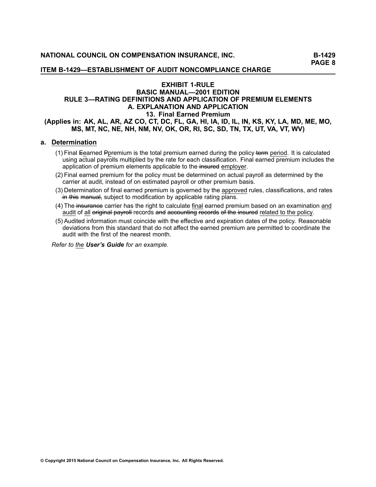### **EXHIBIT 1-RULE BASIC MANUAL—2001 EDITION RULE 3—RATING DEFINITIONS AND APPLICATION OF PREMIUM ELEMENTS A. EXPLANATION AND APPLICATION 13. Final Earned Premium** (Applies in: AK, AL, AR, AZ CO, CT, DC, FL, GA, HI, IA, ID, IL, IN, KS, KY, LA, MD, ME, MO, **MS, MT, NC, NE, NH, NM, NV, OK, OR, RI, SC, SD, TN, TX, UT, VA, VT, WV)**

#### **a. Determination**

- (1) Final Eearned Ppremium is the total premium earned during the policy + effm period. It is calculated using actual payrolls multiplied by the rate for each classification. Final earned premium includes the application of premium elements applicable to the insured employer.
- (2) Final earned premium for the policy must be determined on actual payroll as determined by the carrier at audit, instead of on estimated payroll or other premium basis.
- (3) Determination of final earned premium is governed by the approved rules, classifications, and rates In this manual, subject to modification by applicable rating plans.
- (4) The insurance carrier has the right to calculate final earned premium based on an examination and audit of all original payroll records and accounting records of the insured related to the policy.
- (5) Audited information must coincide with the effective and expiration dates of the policy. Reasonable deviations from this standard that do not affect the earned premium are permitted to coordinate the audit with the first of the nearest month.

*Refer to the [User's](/manuscript/hyperlink.asp?docid=usersguide-G-examples-Rule3-A-13&manualtitle=usersguidexml) Guide for an example.*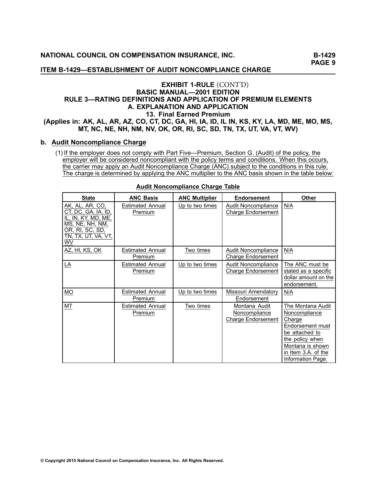#### **ITEM B-1429—ESTABLISHMENT OF AUDIT NONCOMPLIANCE CHARGE**

# **EXHIBIT 1-RULE** (CONT'D)**BASIC MANUAL—2001 EDITION RULE 3—RATING DEFINITIONS AND APPLICATION OF PREMIUM ELEMENTS A. EXPLANATION AND APPLICATION 13. Final Earned Premium** (Applies in: AK, AL, AR, AZ, CO, CT, DC, GA, HI, IA, ID, IL IN, KS, KY, LA, MD, ME, MO, MS, MT, NC, NE, NH, NM, NV, OK, OR, RI, SC, SD, TN, TX, UT, VA, VT, WV)

# **b. Audit Noncompliance Charge**

(1) If the employer does not comply with Part Five—Premium, Section G. (Audit) of the policy, the employer will be considered noncompliant with the policy terms and conditions. When this occurs, the carrier may apply an Audit Noncompliance Charge (ANC) subject to the conditions in this rule. The charge is determined by applying the ANC multiplier to the ANC basis shown in the table below:

| <b>State</b>                                                                                                                            | <b>ANC Basis</b>                   | <b>ANC Multiplier</b> | <b>Endorsement</b>                                          | <b>Other</b>                                                                                                                                                          |
|-----------------------------------------------------------------------------------------------------------------------------------------|------------------------------------|-----------------------|-------------------------------------------------------------|-----------------------------------------------------------------------------------------------------------------------------------------------------------------------|
| AK, AL, AR, CO,<br>CT, DC, GA, IA, ID,<br>IL, IN, KY, MD, ME,<br>MS, NE, NH, NM,<br>OR, RI, SC, SD,<br>TN, TX, UT, VA, VT,<br><b>WV</b> | <b>Estimated Annual</b><br>Premium | Up to two times       | Audit Noncompliance<br><b>Charge Endorsement</b>            | N/A                                                                                                                                                                   |
| AZ, HI, KS, OK                                                                                                                          | <b>Estimated Annual</b><br>Premium | Two times             | Audit Noncompliance<br><b>Charge Endorsement</b>            | N/A                                                                                                                                                                   |
| LA                                                                                                                                      | <b>Estimated Annual</b><br>Premium | Up to two times       | Audit Noncompliance<br><b>Charge Endorsement</b>            | The ANC must be<br>stated as a specific<br>dollar amount on the<br>endorsement.                                                                                       |
| МO                                                                                                                                      | <b>Estimated Annual</b><br>Premium | Up to two times       | Missouri Amendatory<br>Endorsement                          | N/A                                                                                                                                                                   |
| МT                                                                                                                                      | <b>Estimated Annual</b><br>Premium | Two times             | Montana Audit<br>Noncompliance<br><b>Charge Endorsement</b> | The Montana Audit<br>Noncompliance<br>Charge<br>Endorsement must<br>be attached to<br>the policy when<br>Montana is shown<br>in Item 3.A. of the<br>Information Page. |

#### **Audit Noncompliance Charge Table**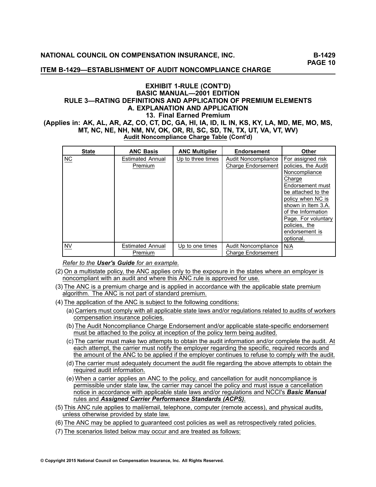### **ITEM B-1429—ESTABLISHMENT OF AUDIT NONCOMPLIANCE CHARGE**

### **EXHIBIT 1-RULE (CONT'D) BASIC MANUAL—2001 EDITION RULE 3—RATING DEFINITIONS AND APPLICATION OF PREMIUM ELEMENTS A. EXPLANATION AND APPLICATION 13. Final Earned Premium** (Applies in: AK, AL, AR, AZ, CO, CT, DC, GA, HI, IA, ID, IL IN, KS, KY, LA, MD, ME, MO, MS, **MT, NC, NE, NH, NM, NV, OK, OR, RI, SC, SD, TN, TX, UT, VA, VT, WV) Audit Noncompliance Charge Table (Cont'd)**

| <b>State</b> | <b>ANC Basis</b>                   | <b>ANC Multiplier</b> | <b>Endorsement</b>                                      | <b>Other</b>                                                                                                                                                                                                                                          |
|--------------|------------------------------------|-----------------------|---------------------------------------------------------|-------------------------------------------------------------------------------------------------------------------------------------------------------------------------------------------------------------------------------------------------------|
| <b>NC</b>    | <b>Estimated Annual</b><br>Premium | Up to three times     | <b>Audit Noncompliance</b><br><b>Charge Endorsement</b> | For assigned risk<br>policies, the Audit<br>Noncompliance<br>Charge<br>Endorsement must<br>be attached to the<br>policy when NC is<br>shown in Item 3.A.<br>of the Information<br>Page. For voluntary<br>policies, the<br>endorsement is<br>optional. |
| <b>NV</b>    | <b>Estimated Annual</b><br>Premium | Up to one times       | Audit Noncompliance<br><b>Charge Endorsement</b>        | N/A                                                                                                                                                                                                                                                   |

*Refer to the User's Guide for an example.*

- (2) On <sup>a</sup> multistate policy, the ANC applies only to the exposure in the states where an employer is noncompliant with an audit and where this ANC rule is approved for use.
- (3) The ANC is <sup>a</sup> premium charge and is applied in accordance with the applicable state premium algorithm. The ANC is not part of standard premium.
- (4) The application of the ANC is subject to the following conditions:
	- (a) Carriers must comply with all applicable state laws and/or regulations related to audits of workers compensation insurance policies.
	- (b) The Audit Noncompliance Charge Endorsement and/or applicable state-specific endorsement must be attached to the policy at inception of the policy term being audited.
	- (c) The carrier must make two attempts to obtain the audit information and/or complete the audit. At each attempt, the carrier must notify the employer regarding the specific, required records and the amount of the ANC to be applied if the employer continues to refuse to comply with the audit.
	- (d) The carrier must adequately document the audit file regarding the above attempts to obtain the required audit information.
	- (e) When <sup>a</sup> carrier applies an ANC to the policy, and cancellation for audit noncompliance is permissible under state law, the carrier may cancel the policy and must issue <sup>a</sup> cancellation notice in accordance with applicable state laws and/or regulations and NCCI's *Basic Manual* rules and *Assigned Carrier Performance Standards (ACPS)*.
- (5) This ANC rule applies to mail/email, telephone, computer (remote access), and physical audits, unless otherwise provided by state law.

(6) The ANC may be applied to guaranteed cost policies as well as retrospectively rated policies.

(7) The scenarios listed below may occur and are treated as follows: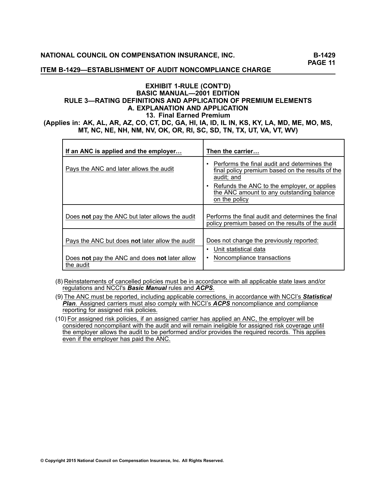### **ITEM B-1429—ESTABLISHMENT OF AUDIT NONCOMPLIANCE CHARGE**

# **EXHIBIT 1-RULE (CONT'D) BASIC MANUAL—2001 EDITION RULE 3—RATING DEFINITIONS AND APPLICATION OF PREMIUM ELEMENTS A. EXPLANATION AND APPLICATION 13. Final Earned Premium** (Applies in: AK, AL, AR, AZ, CO, CT, DC, GA, HI, IA, ID, IL IN, KS, KY, LA, MD, ME, MO, MS,

**MT, NC, NE, NH, NM, NV, OK, OR, RI, SC, SD, TN, TX, UT, VA, VT, WV)**

| If an ANC is applied and the employer                      | Then the carrier                                                                                              |
|------------------------------------------------------------|---------------------------------------------------------------------------------------------------------------|
| Pays the ANC and later allows the audit                    | Performs the final audit and determines the<br>final policy premium based on the results of the<br>audit; and |
|                                                            | Refunds the ANC to the employer, or applies<br>the ANC amount to any outstanding balance<br>on the policy     |
| Does not pay the ANC but later allows the audit            | Performs the final audit and determines the final<br>policy premium based on the results of the audit         |
| Pays the ANC but does not later allow the audit            | Does not change the previously reported:<br>Unit statistical data                                             |
| Does not pay the ANC and does not later allow<br>the audit | Noncompliance transactions<br>$\bullet$                                                                       |

- (8) Reinstatements of cancelled policies must be in accordance with all applicable state laws and/or regulations and NCCI's *Basic Manual* rules and *ACPS*.
- (9) The ANC must be reported, including applicable corrections, in accordance with NCCI's *Statistical Plan*. Assigned carriers must also comply with NCCI's *ACPS* noncompliance and compliance reporting for assigned risk policies.
- (10) For assigned risk policies, if an assigned carrier has applied an ANC, the employer will be considered noncompliant with the audit and will remain ineligible for assigned risk coverage until the employer allows the audit to be performed and/or provides the required records. This applies even if the employer has paid the ANC.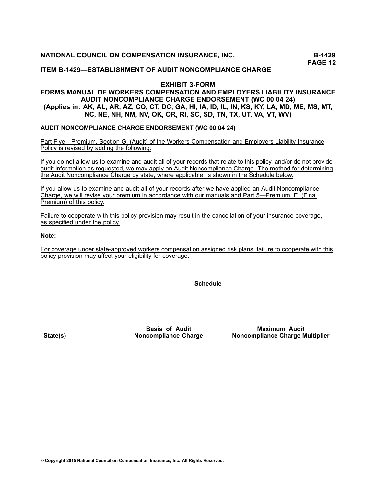### **EXHIBIT 3-FORM**

### **FORMS MANUAL OF WORKERS COMPENSATION AND EMPLOYERS LIABILITY INSURANCE AUDIT NONCOMPLIANCE CHARGE ENDORSEMENT (WC <sup>00</sup> <sup>04</sup> 24)** (Applies in: AK, AL, AR, AZ, CO, CT, DC, GA, HI, IA, ID, IL, IN, KS, KY, LA, MD, ME, MS, MT, NC, NE, NH, NM, NV, OK, OR, RI, SC, SD, TN, TX, UT, VA, VT, WV)

#### **AUDIT NONCOMPLIANCE CHARGE ENDORSEMENT (WC <sup>00</sup> <sup>04</sup> 24)**

Part Five—Premium, Section G. (Audit) of the Workers Compensation and Employers Liability Insurance Policy is revised by adding the following:

If you do not allow us to examine and audit all of your records that relate to this policy, and/or do not provide audit information as requested, we may apply an Audit Noncompliance Charge. The method for determining the Audit Noncompliance Charge by state, where applicable, is shown in the Schedule below.

If you allow us to examine and audit all of your records after we have applied an Audit Noncompliance Charge, we will revise your premium in accordance with our manuals and Part 5—Premium, E. (Final Premium) of this policy.

Failure to cooperate with this policy provision may result in the cancellation of your insurance coverage, as specified under the policy.

#### **Note:**

For coverage under state-approved workers compensation assigned risk plans, failure to cooperate with this policy provision may affect your eligibility for coverage.

**Schedule**

**State(s)**

**Basis of Audit Noncompliance Charge**

**Maximum Audit Noncompliance Charge Multiplier**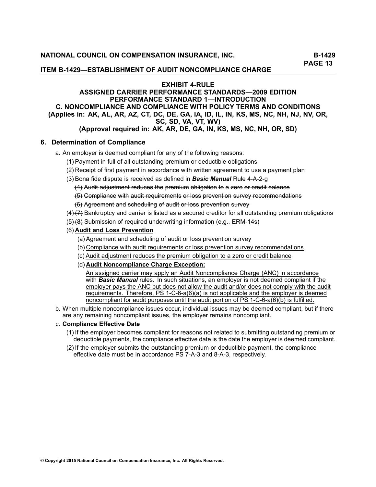#### **ITEM B-1429—ESTABLISHMENT OF AUDIT NONCOMPLIANCE CHARGE**

#### **EXHIBIT 4-RULE**

# **ASSIGNED CARRIER PERFORMANCE STANDARDS—2009 EDITION PERFORMANCE STANDARD 1—INTRODUCTION C. NONCOMPLIANCE AND COMPLIANCE WITH POLICY TERMS AND CONDITIONS** (Applies in: AK, AL, AR, AZ, CT, DC, DE, GA, IA, ID, IL, IN, KS, MS, NC, NH, NJ, NV, OR, **SC, SD, VA, VT, WV)**

# (Approval required in: AK, AR, DE, GA, IN, KS, MS, NC, NH, OR, SD)

# **6. Determination of Compliance**

- a. An employer is deemed compliant for any of the following reasons:
	- (1) Payment in full of all outstanding premium or deductible obligations
	- (2) Receipt of first payment in accordance with written agreement to use <sup>a</sup> payment plan
	- (3) Bona fide dispute is received as defined in *Basic Manual* Rule [4-A-2-g](/manuscript/hyperlink.asp?docid=Basic2001Rule4-A)
		- (4) Audit adjustment reduces the premium obligation to a zero or credit balance
		- <del>(5)</del> Compliance with audit requirements or loss prevention survey recommendations
		- (6)– Agreement and scheduling of audit or loss prevention survey
	- $(4)$   $(7)$  Bankruptcy and carrier is listed as a secured creditor for all outstanding premium obligations
	- $(5)$  (8) Submission of required underwriting information (e.g., ERM-14s)

#### (6) **Audit and Loss Prevention**

- (a) Agreement and scheduling of audit or loss prevention survey
- (b) Compliance with audit requirements or loss prevention survey recommendations
- (c) Audit adjustment reduces the premium obligation to <sup>a</sup> zero or credit balance
- (d) **Audit Noncompliance Charge Exception:**

An assigned carrier may apply an Audit Noncompliance Charge (ANC) in accordance with *Basic Manual* rules. In such situations, an employer is not deemed compliant if the employer pays the ANC but does not allow the audit and/or does not comply with the audit requirements. Therefore, PS 1-C-6-a(6)(a) is not applicable and the employer is deemed noncompliant for audit purposes until the audit portion of PS 1-C-6-a(6)(b) is fulfilled.

b. When multiple noncompliance issues occur, individual issues may be deemed compliant, but if there are any remaining noncompliant issues, the employer remains noncompliant.

#### c. **Compliance Effective Date**

- (1) If the employer becomes compliant for reasons not related to submitting outstanding premium or deductible payments, the compliance effective date is the date the employer is deemed compliant.
- (2) If the employer submits the outstanding premium or deductible payment, the compliance<br>offective date must be in accordance BS 7. A 3 and 8. A 3, respectively. effective date must be in accordance PS [7-A-3](/manuscript/hyperlink.asp?docid=ACPS-PS7A) and [8-A-3](/manuscript/hyperlink.asp?docid=ACPS-PS8A), respectively.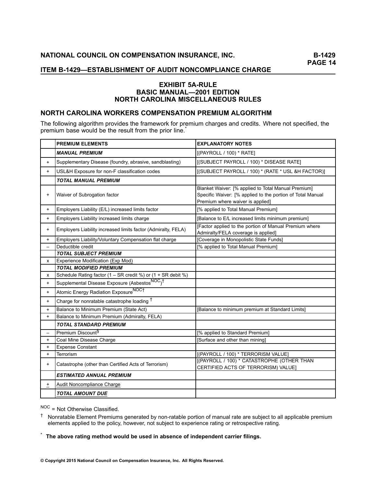# **EXHIBIT 5A-RULE BASIC MANUAL—2001 EDITION NORTH CAROLINA MISCELLANEOUS RULES**

# **NORTH CAROLINA WORKERS COMPENSATION PREMIUM ALGORITHM**

The following algorithm provides the framework for premium charges and credits. Where not specified, the premium base would be the result from the prior line. \*

|           | <b>PREMIUM ELEMENTS</b>                                                 | <b>EXPLANATORY NOTES</b>                                                                                                                              |
|-----------|-------------------------------------------------------------------------|-------------------------------------------------------------------------------------------------------------------------------------------------------|
|           | <b>MANUAL PREMIUM</b>                                                   | [(PAYROLL / 100) * RATE]                                                                                                                              |
| $+$       | Supplementary Disease (foundry, abrasive, sandblasting)                 | [(SUBJECT PAYROLL / 100) * DISEASE RATE]                                                                                                              |
| $+$       | USL&H Exposure for non-F classification codes                           | [(SUBJECT PAYROLL / 100) * (RATE * USL &H FACTOR)]                                                                                                    |
|           | <b>TOTAL MANUAL PREMIUM</b>                                             |                                                                                                                                                       |
| $+$       | Waiver of Subrogation factor                                            | Blanket Waiver: [% applied to Total Manual Premium]<br>Specific Waiver: [% applied to the portion of Total Manual<br>Premium where waiver is applied] |
| $+$       | Employers Liability (E/L) increased limits factor                       | [% applied to Total Manual Premium]                                                                                                                   |
| $+$       | Employers Liability increased limits charge                             | [Balance to E/L increased limits minimum premium]                                                                                                     |
| $+$       | Employers Liability increased limits factor (Admiralty, FELA)           | [Factor applied to the portion of Manual Premium where<br>Admiralty/FELA coverage is applied]                                                         |
| $+$       | Employers Liability/Voluntary Compensation flat charge                  | [Coverage in Monopolistic State Funds]                                                                                                                |
|           | Deductible credit                                                       | [% applied to Total Manual Premium]                                                                                                                   |
|           | <b>TOTAL SUBJECT PREMIUM</b>                                            |                                                                                                                                                       |
| x         | Experience Modification (Exp Mod)                                       |                                                                                                                                                       |
|           | <b>TOTAL MODIFIED PREMIUM</b>                                           |                                                                                                                                                       |
| x         | Schedule Rating factor $(1 - SR \c{c}$ and $\%)$ or $(1 + SR \cdot de)$ |                                                                                                                                                       |
| $+$       | Supplemental Disease Exposure (Asbestos <sup>NOC</sup> ) <sup>†</sup>   |                                                                                                                                                       |
| $+$       | Atomic Energy Radiation ExposureNOCT                                    |                                                                                                                                                       |
| $+$       | Charge for nonratable catastrophe loading <sup>†</sup>                  |                                                                                                                                                       |
| $+$       | Balance to Minimum Premium (State Act)                                  | [Balance to minimum premium at Standard Limits]                                                                                                       |
| $+$       | Balance to Minimum Premium (Admiralty, FELA)                            |                                                                                                                                                       |
|           | <b>TOTAL STANDARD PREMIUM</b>                                           |                                                                                                                                                       |
|           | Premium Discount <sup>§</sup>                                           | [% applied to Standard Premium]                                                                                                                       |
| $+$       | Coal Mine Disease Charge                                                | [Surface and other than mining]                                                                                                                       |
| $\ddot{}$ | <b>Expense Constant</b>                                                 |                                                                                                                                                       |
| $+$       | Terrorism                                                               | [(PAYROLL / 100) * TERRORISM VALUE]                                                                                                                   |
| $+$       | Catastrophe (other than Certified Acts of Terrorism)                    | [(PAYROLL / 100) * CATASTROPHE (OTHER THAN<br>CERTIFIED ACTS OF TERRORISM) VALUE]                                                                     |
|           | <b>ESTIMATED ANNUAL PREMIUM</b>                                         |                                                                                                                                                       |
| $\pm$     | Audit Noncompliance Charge                                              |                                                                                                                                                       |
|           | <b>TOTAL AMOUNT DUE</b>                                                 |                                                                                                                                                       |

N<sup>OC</sup> = Not Otherwise Classified.

<sup>†</sup> Nonratable Element Premiums generated by non-ratable portion of manual rate are subject to all applicable premium<br>
elements applied to the policy however not subject to experience rating ar retreapedive rating elements applied to the policy, however, not subject to experience rating or retrospective rating.

\*The above rating method would be used in absence of independent carrier filings.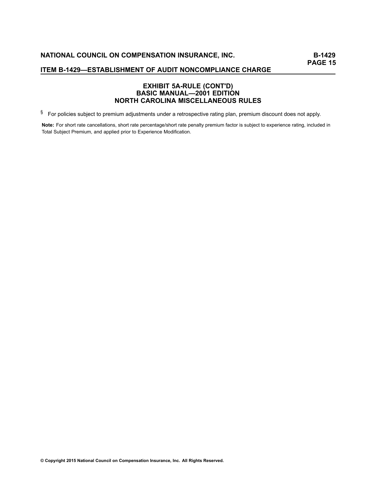# **EXHIBIT 5A-RULE (CONT'D) BASIC MANUAL—2001 EDITION NORTH CAROLINA MISCELLANEOUS RULES**

 $§$  For policies subject to premium adjustments under a retrospective rating plan, premium discount does not apply.

Note: For short rate cancellations, short rate percentage/short rate penalty premium factor is subject to experience rating, included in Total Subject Premium, and applied prior to Experience Modification.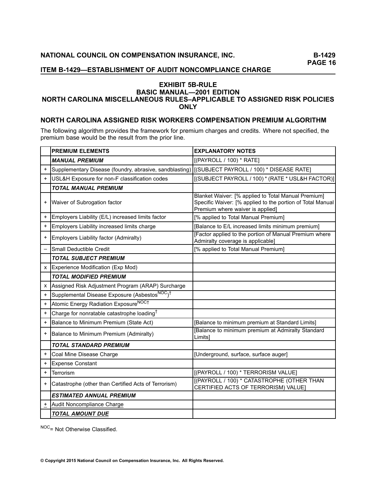# **EXHIBIT 5B-RULE BASIC MANUAL—2001 EDITION NORTH CAROLINA MISCELLANEOUS RULES–APPLICABLE TO ASSIGNED RISK POLICIES ONLY**

# **NORTH CAROLINA ASSIGNED RISK WORKERS COMPENSATION PREMIUM ALGORITHM**

The following algorithm provides the framework for premium charges and credits. Where not specified, the premium base would be the result from the prior line.

|           | <b>PREMIUM ELEMENTS</b>                                               | <b>EXPLANATORY NOTES</b>                                                                                                                              |
|-----------|-----------------------------------------------------------------------|-------------------------------------------------------------------------------------------------------------------------------------------------------|
|           | <b>MANUAL PREMIUM</b>                                                 | [(PAYROLL / 100) * RATE]                                                                                                                              |
| $\ddot{}$ | Supplementary Disease (foundry, abrasive, sandblasting)               | [(SUBJECT PAYROLL / 100) * DISEASE RATE]                                                                                                              |
| $\ddot{}$ | USL&H Exposure for non-F classification codes                         | [(SUBJECT PAYROLL / 100) * (RATE * USL&H FACTOR)]                                                                                                     |
|           | <b>TOTAL MANUAL PREMIUM</b>                                           |                                                                                                                                                       |
| +         | Waiver of Subrogation factor                                          | Blanket Waiver: [% applied to Total Manual Premium]<br>Specific Waiver: [% applied to the portion of Total Manual<br>Premium where waiver is applied] |
| $\ddot{}$ | Employers Liability (E/L) increased limits factor                     | [% applied to Total Manual Premium]                                                                                                                   |
| $\ddot{}$ | Employers Liability increased limits charge                           | [Balance to E/L increased limits minimum premium]                                                                                                     |
| $\ddot{}$ | Employers Liability factor (Admiralty)                                | [Factor applied to the portion of Manual Premium where<br>Admiralty coverage is applicable]                                                           |
|           | Small Deductible Credit                                               | [% applied to Total Manual Premium]                                                                                                                   |
|           | <b>TOTAL SUBJECT PREMIUM</b>                                          |                                                                                                                                                       |
| X         | Experience Modification (Exp Mod)                                     |                                                                                                                                                       |
|           | <b>TOTAL MODIFIED PREMIUM</b>                                         |                                                                                                                                                       |
| X         | Assigned Risk Adjustment Program (ARAP) Surcharge                     |                                                                                                                                                       |
| $\ddot{}$ | Supplemental Disease Exposure (Asbestos <sup>NOC</sup> ) <sup>†</sup> |                                                                                                                                                       |
| $\ddot{}$ | Atomic Energy Radiation ExposureNOCT                                  |                                                                                                                                                       |
| $\ddot{}$ | Charge for nonratable catastrophe loading <sup>†</sup>                |                                                                                                                                                       |
| $\ddot{}$ | Balance to Minimum Premium (State Act)                                | [Balance to minimum premium at Standard Limits]                                                                                                       |
| $\ddot{}$ | Balance to Minimum Premium (Admiralty)                                | [Balance to minimum premium at Admiralty Standard<br>Limitsl                                                                                          |
|           | <b>TOTAL STANDARD PREMIUM</b>                                         |                                                                                                                                                       |
| $\ddot{}$ | Coal Mine Disease Charge                                              | [Underground, surface, surface auger]                                                                                                                 |
| $\ddot{}$ | <b>Expense Constant</b>                                               |                                                                                                                                                       |
| $\ddot{}$ | Terrorism                                                             | [(PAYROLL / 100) * TERRORISM VALUE]                                                                                                                   |
| +         | Catastrophe (other than Certified Acts of Terrorism)                  | [(PAYROLL / 100) * CATASTROPHE (OTHER THAN<br>CERTIFIED ACTS OF TERRORISM) VALUE                                                                      |
|           | <b>ESTIMATED ANNUAL PREMIUM</b>                                       |                                                                                                                                                       |
| ÷         | Audit Noncompliance Charge                                            |                                                                                                                                                       |
|           | <b>TOTAL AMOUNT DUE</b>                                               |                                                                                                                                                       |

NOC= Not Otherwise Classified.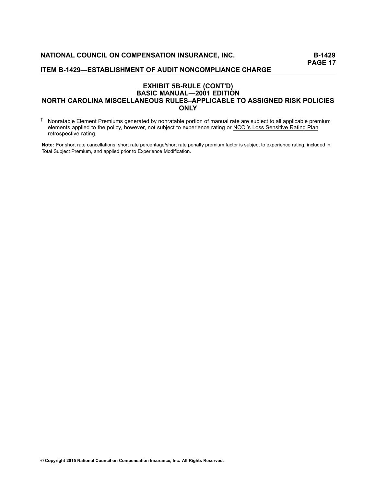# **EXHIBIT 5B-RULE (CONT'D) BASIC MANUAL—2001 EDITION NORTH CAROLINA MISCELLANEOUS RULES–APPLICABLE TO ASSIGNED RISK POLICIES ONLY**

<sup>†</sup> Nonratable Element Premiums generated by nonratable portion of manual rate are subject to all applicable premium<br>
cloments applied to the policy bowever, not subject to experience rating or NCCI's Less Sepsitive Pating elements applied to the policy, however, not subject to experience rating or NCCI's Loss Sensitive Rating Plan retrospective rating.

**Note:** For short rate cancellations, short rate percentage/short rate penalty premium factor is subject to experience rating, included in Total Subject Premium, and applied prior to Experience Modification.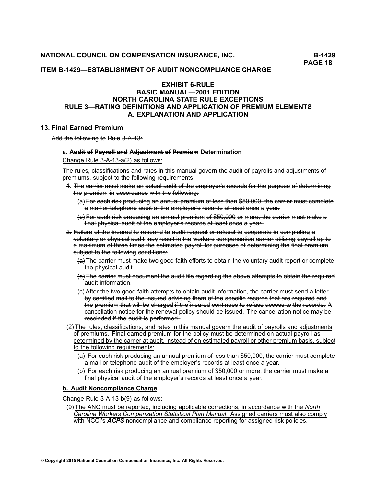#### **ITEM B-1429—ESTABLISHMENT OF AUDIT NONCOMPLIANCE CHARGE**

# **EXHIBIT 6-RULE BASIC MANUAL—2001 EDITION NORTH CAROLINA STATE RULE EXCEPTIONS RULE 3—RATING DEFINITIONS AND APPLICATION OF PREMIUM ELEMENTS A. EXPLANATION AND APPLICATION**

### **13. Final Earned Premium**

Add the following to Rule 3-A-13:

#### a. Audit of Payroll and Adjustment of Premium Determination

### Change Rule 3-A-13-a(2) as follows:

The rules, classifications and rates in this manual govern the audit of payrolls and adjustments of premiums, subject to the following requirements:

- 1. The carrier must make an actual audit of the employer's records for the purpose of determining the premium in accordance with the following:
	- (a) For each risk producing an annual premium of less than \$50,000, the carrier must complete a mail or telephone audit of the employer's records at least once a year.
	- (b) For each risk producing an annual premium of \$50,000 or more, the carrier must make a final physical audit of the employer's records at least once a year-
- 2. Fajlure of the insured to respond to audit request or refusal to cooperate in completing a voluntary or physical audit may result in the workers compensation carrier utilizing payroll up to a–maximum of three times the estimated payroll for purposes of determining the final premium subject to the following conditions:
	- (a) The carrier must make two good faith efforts to obtain the voluntary audit report or complete the physical audit.
	- (b) The carrier must document the audit file regarding the above attempts to obtain the required audit-information.
	- (c) After the two good faith attempts to obtain audit information, the carrier must send a letter by certified mail to the insured advising them of the specific records that are required and the premium that will be charged if the insured continues to refuse access to the records. A cancellation notice for the renewal policy should be issued. The cancellation notice may be rescinded if the audit is performed.
- (2) The rules, classifications, and rates in this manual govern the audit of payrolls and adjustments of premiums. Final earned premium for the policy must be determined on actual payroll as determined by the carrier at audit, instead of on estimated payroll or other premium basis, subject to the following requirements:
	- (a) For each risk producing an annual premium of less than \$50,000, the carrier must complete <sup>a</sup> mail or telephone audit of the employer's records at least once <sup>a</sup> year.
	- (b) For each risk producing an annual premium of \$50,000 or more, the carrier must make <sup>a</sup> final physical audit of the employer's records at least once <sup>a</sup> year.

### **b. Audit Noncompliance Charge**

Change Rule 3-A-13-b(9) as follows:

(9) The ANC must be reported, including applicable corrections, in accordance with the *North Carolina Workers Compensation Statistical Plan Manual*. Assigned carriers must also comply with NCCI's *ACPS* noncompliance and compliance reporting for assigned risk policies.